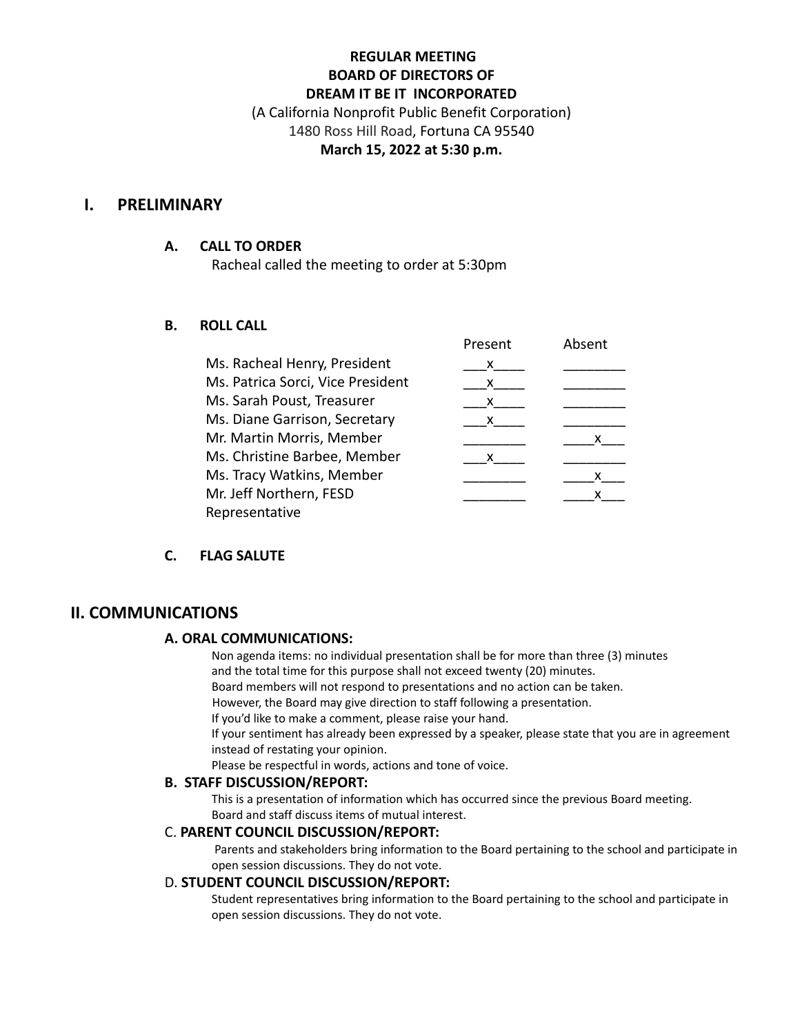# **REGULAR MEETING BOARD OF DIRECTORS OF DREAM IT BE IT INCORPORATED**

(A California Nonprofit Public Benefit Corporation) 1480 Ross Hill Road, Fortuna CA 95540 **March 15, 2022 at 5:30 p.m.**

## **I. PRELIMINARY**

#### **A. CALL TO ORDER**

Racheal called the meeting to order at 5:30pm

### **B. ROLL CALL**

|                                   | Present | Absent |
|-----------------------------------|---------|--------|
| Ms. Racheal Henry, President      | x       |        |
| Ms. Patrica Sorci, Vice President | x       |        |
| Ms. Sarah Poust, Treasurer        | x       |        |
| Ms. Diane Garrison, Secretary     | X.      |        |
| Mr. Martin Morris, Member         |         | X.     |
| Ms. Christine Barbee, Member      | x       |        |
| Ms. Tracy Watkins, Member         |         |        |
| Mr. Jeff Northern, FESD           |         |        |
| Representative                    |         |        |

### **C. FLAG SALUTE**

# **II. COMMUNICATIONS**

#### **A. ORAL COMMUNICATIONS:**

Non agenda items: no individual presentation shall be for more than three (3) minutes and the total time for this purpose shall not exceed twenty (20) minutes.

Board members will not respond to presentations and no action can be taken.

However, the Board may give direction to staff following a presentation.

If you'd like to make a comment, please raise your hand.

If your sentiment has already been expressed by a speaker, please state that you are in agreement instead of restating your opinion.

Please be respectful in words, actions and tone of voice.

#### **B. STAFF DISCUSSION/REPORT:**

This is a presentation of information which has occurred since the previous Board meeting. Board and staff discuss items of mutual interest.

#### C. **PARENT COUNCIL DISCUSSION/REPORT:**

Parents and stakeholders bring information to the Board pertaining to the school and participate in open session discussions. They do not vote.

#### D. **STUDENT COUNCIL DISCUSSION/REPORT:**

Student representatives bring information to the Board pertaining to the school and participate in open session discussions. They do not vote.